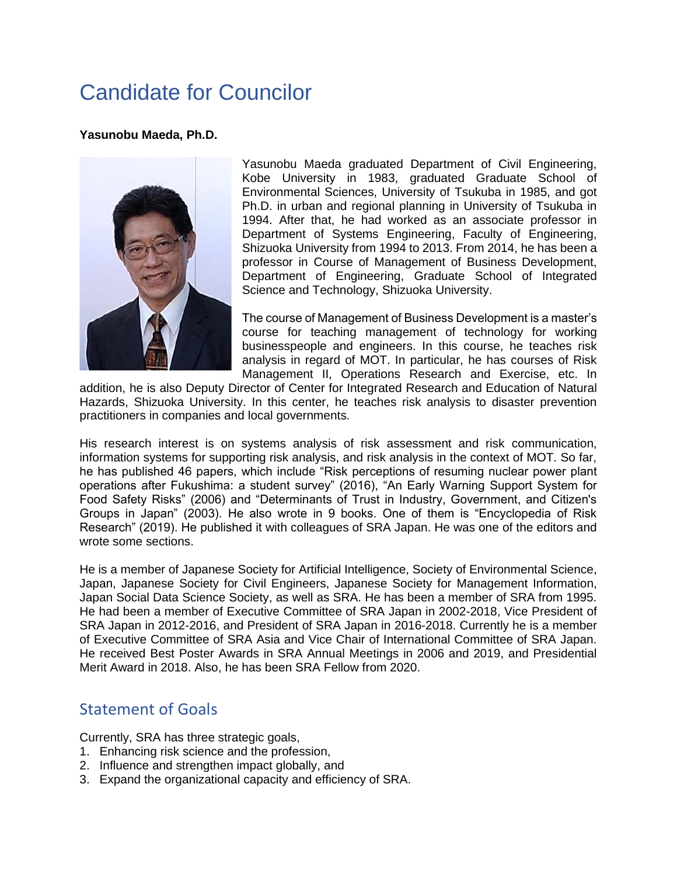## Candidate for Councilor

## **Yasunobu Maeda, Ph.D.**



Yasunobu Maeda graduated Department of Civil Engineering, Kobe University in 1983, graduated Graduate School of Environmental Sciences, University of Tsukuba in 1985, and got Ph.D. in urban and regional planning in University of Tsukuba in 1994. After that, he had worked as an associate professor in Department of Systems Engineering, Faculty of Engineering, Shizuoka University from 1994 to 2013. From 2014, he has been a professor in Course of Management of Business Development, Department of Engineering, Graduate School of Integrated Science and Technology, Shizuoka University.

The course of Management of Business Development is a master's course for teaching management of technology for working businesspeople and engineers. In this course, he teaches risk analysis in regard of MOT. In particular, he has courses of Risk Management II, Operations Research and Exercise, etc. In

addition, he is also Deputy Director of Center for Integrated Research and Education of Natural Hazards, Shizuoka University. In this center, he teaches risk analysis to disaster prevention practitioners in companies and local governments.

His research interest is on systems analysis of risk assessment and risk communication, information systems for supporting risk analysis, and risk analysis in the context of MOT. So far, he has published 46 papers, which include "Risk perceptions of resuming nuclear power plant operations after Fukushima: a student survey" (2016), "An Early Warning Support System for Food Safety Risks" (2006) and "Determinants of Trust in Industry, Government, and Citizen's Groups in Japan" (2003). He also wrote in 9 books. One of them is "Encyclopedia of Risk Research" (2019). He published it with colleagues of SRA Japan. He was one of the editors and wrote some sections.

He is a member of Japanese Society for Artificial Intelligence, Society of Environmental Science, Japan, Japanese Society for Civil Engineers, Japanese Society for Management Information, Japan Social Data Science Society, as well as SRA. He has been a member of SRA from 1995. He had been a member of Executive Committee of SRA Japan in 2002-2018, Vice President of SRA Japan in 2012-2016, and President of SRA Japan in 2016-2018. Currently he is a member of Executive Committee of SRA Asia and Vice Chair of International Committee of SRA Japan. He received Best Poster Awards in SRA Annual Meetings in 2006 and 2019, and Presidential Merit Award in 2018. Also, he has been SRA Fellow from 2020.

## Statement of Goals

Currently, SRA has three strategic goals,

- 1. Enhancing risk science and the profession,
- 2. Influence and strengthen impact globally, and
- 3. Expand the organizational capacity and efficiency of SRA.